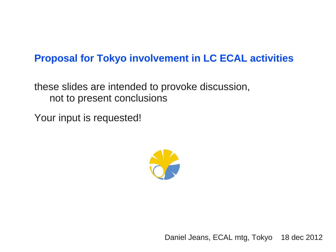## **Proposal for Tokyo involvement in LC ECAL activities**

these slides are intended to provoke discussion, not to present conclusions

Your input is requested!



Daniel Jeans, ECAL mtg, Tokyo 18 dec 2012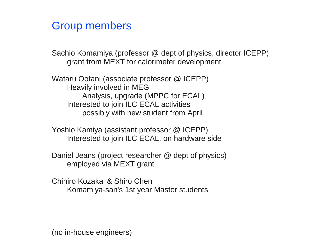## Group members

Sachio Komamiya (professor @ dept of physics, director ICEPP) grant from MEXT for calorimeter development

Wataru Ootani (associate professor @ ICEPP) Heavily involved in MEG Analysis, upgrade (MPPC for ECAL) Interested to join ILC ECAL activities possibly with new student from April

Yoshio Kamiya (assistant professor @ ICEPP) Interested to join ILC ECAL, on hardware side

Daniel Jeans (project researcher @ dept of physics) employed via MEXT grant

Chihiro Kozakai & Shiro Chen Komamiya-san's 1st year Master students

(no in-house engineers)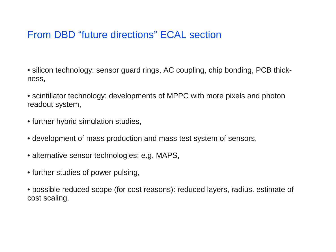## From DBD "future directions" ECAL section

• silicon technology: sensor guard rings, AC coupling, chip bonding, PCB thickness,

• scintillator technology: developments of MPPC with more pixels and photon readout system,

- further hybrid simulation studies,
- development of mass production and mass test system of sensors,
- alternative sensor technologies: e.g. MAPS,
- further studies of power pulsing,

• possible reduced scope (for cost reasons): reduced layers, radius. estimate of cost scaling.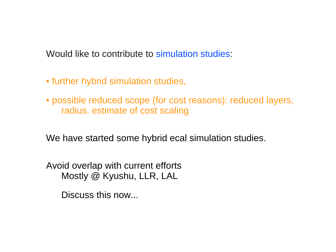Would like to contribute to simulation studies:

- further hybrid simulation studies,
- possible reduced scope (for cost reasons): reduced layers, radius. estimate of cost scaling

We have started some hybrid ecal simulation studies.

Avoid overlap with current efforts Mostly @ Kyushu, LLR, LAL

Discuss this now...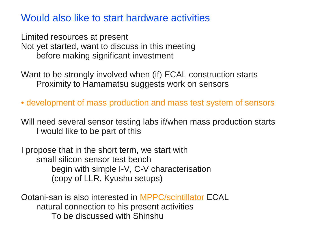Would also like to start hardware activities

Limited resources at present Not yet started, want to discuss in this meeting before making significant investment

Want to be strongly involved when (if) ECAL construction starts Proximity to Hamamatsu suggests work on sensors

• development of mass production and mass test system of sensors

Will need several sensor testing labs if/when mass production starts I would like to be part of this

I propose that in the short term, we start with small silicon sensor test bench begin with simple I-V, C-V characterisation (copy of LLR, Kyushu setups)

Ootani-san is also interested in MPPC/scintillator ECAL natural connection to his present activities To be discussed with Shinshu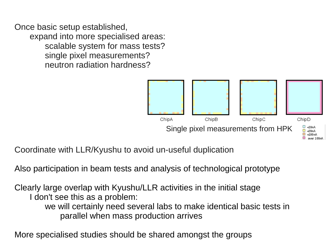Once basic setup established, expand into more specialised areas: scalable system for mass tests? single pixel measurements? neutron radiation hardness?



Coordinate with LLR/Kyushu to avoid un-useful duplication

Also participation in beam tests and analysis of technological prototype

Clearly large overlap with Kyushu/LLR activities in the initial stage I don't see this as a problem: we will certainly need several labs to make identical basic tests in parallel when mass production arrives

More specialised studies should be shared amongst the groups